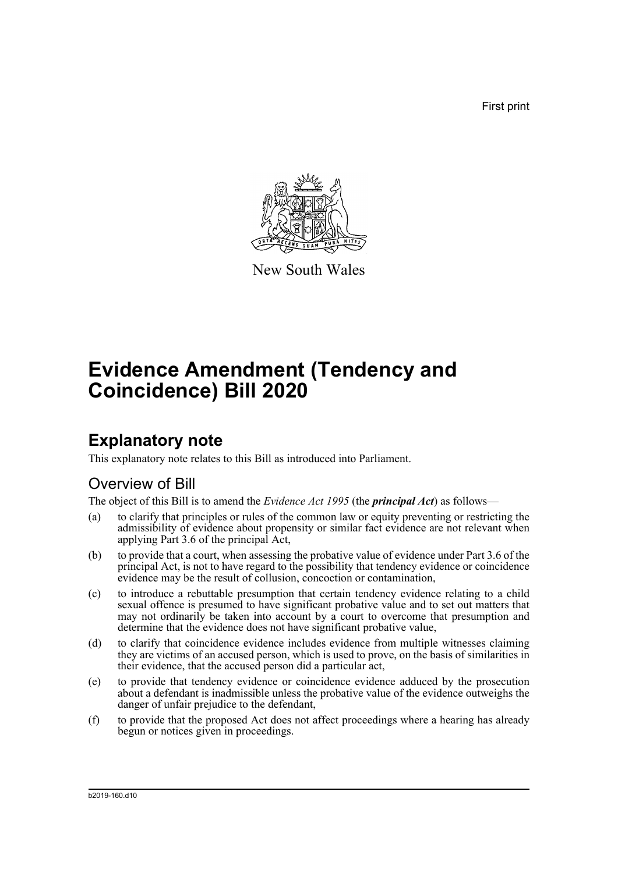First print



New South Wales

# **Evidence Amendment (Tendency and Coincidence) Bill 2020**

## **Explanatory note**

This explanatory note relates to this Bill as introduced into Parliament.

## Overview of Bill

The object of this Bill is to amend the *Evidence Act 1995* (the *principal Act*) as follows—

- (a) to clarify that principles or rules of the common law or equity preventing or restricting the admissibility of evidence about propensity or similar fact evidence are not relevant when applying Part 3.6 of the principal Act,
- (b) to provide that a court, when assessing the probative value of evidence under Part 3.6 of the principal Act, is not to have regard to the possibility that tendency evidence or coincidence evidence may be the result of collusion, concoction or contamination,
- (c) to introduce a rebuttable presumption that certain tendency evidence relating to a child sexual offence is presumed to have significant probative value and to set out matters that may not ordinarily be taken into account by a court to overcome that presumption and determine that the evidence does not have significant probative value,
- (d) to clarify that coincidence evidence includes evidence from multiple witnesses claiming they are victims of an accused person, which is used to prove, on the basis of similarities in their evidence, that the accused person did a particular act,
- (e) to provide that tendency evidence or coincidence evidence adduced by the prosecution about a defendant is inadmissible unless the probative value of the evidence outweighs the danger of unfair prejudice to the defendant,
- (f) to provide that the proposed Act does not affect proceedings where a hearing has already begun or notices given in proceedings.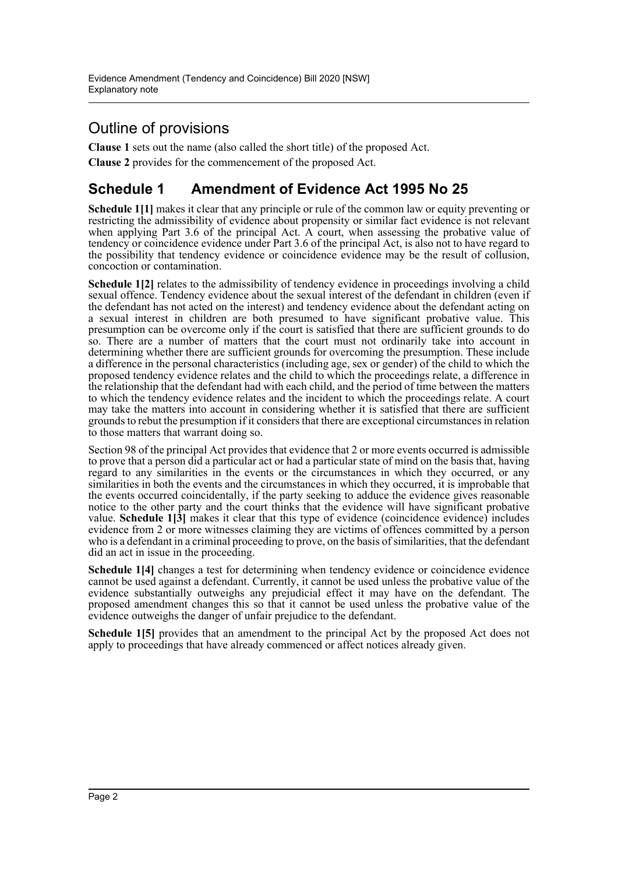## Outline of provisions

**Clause 1** sets out the name (also called the short title) of the proposed Act. **Clause 2** provides for the commencement of the proposed Act.

## **Schedule 1 Amendment of Evidence Act 1995 No 25**

**Schedule 1[1]** makes it clear that any principle or rule of the common law or equity preventing or restricting the admissibility of evidence about propensity or similar fact evidence is not relevant when applying Part 3.6 of the principal Act. A court, when assessing the probative value of tendency or coincidence evidence under Part 3.6 of the principal Act, is also not to have regard to the possibility that tendency evidence or coincidence evidence may be the result of collusion, concoction or contamination.

**Schedule 1[2]** relates to the admissibility of tendency evidence in proceedings involving a child sexual offence. Tendency evidence about the sexual interest of the defendant in children (even if the defendant has not acted on the interest) and tendency evidence about the defendant acting on a sexual interest in children are both presumed to have significant probative value. This presumption can be overcome only if the court is satisfied that there are sufficient grounds to do so. There are a number of matters that the court must not ordinarily take into account in determining whether there are sufficient grounds for overcoming the presumption. These include a difference in the personal characteristics (including age, sex or gender) of the child to which the proposed tendency evidence relates and the child to which the proceedings relate, a difference in the relationship that the defendant had with each child, and the period of time between the matters to which the tendency evidence relates and the incident to which the proceedings relate. A court may take the matters into account in considering whether it is satisfied that there are sufficient grounds to rebut the presumption if it considers that there are exceptional circumstances in relation to those matters that warrant doing so.

Section 98 of the principal Act provides that evidence that 2 or more events occurred is admissible to prove that a person did a particular act or had a particular state of mind on the basis that, having regard to any similarities in the events or the circumstances in which they occurred, or any similarities in both the events and the circumstances in which they occurred, it is improbable that the events occurred coincidentally, if the party seeking to adduce the evidence gives reasonable notice to the other party and the court thinks that the evidence will have significant probative value. **Schedule 1[3]** makes it clear that this type of evidence (coincidence evidence) includes evidence from 2 or more witnesses claiming they are victims of offences committed by a person who is a defendant in a criminal proceeding to prove, on the basis of similarities, that the defendant did an act in issue in the proceeding.

**Schedule 1[4]** changes a test for determining when tendency evidence or coincidence evidence cannot be used against a defendant. Currently, it cannot be used unless the probative value of the evidence substantially outweighs any prejudicial effect it may have on the defendant. The proposed amendment changes this so that it cannot be used unless the probative value of the evidence outweighs the danger of unfair prejudice to the defendant.

**Schedule 1[5]** provides that an amendment to the principal Act by the proposed Act does not apply to proceedings that have already commenced or affect notices already given.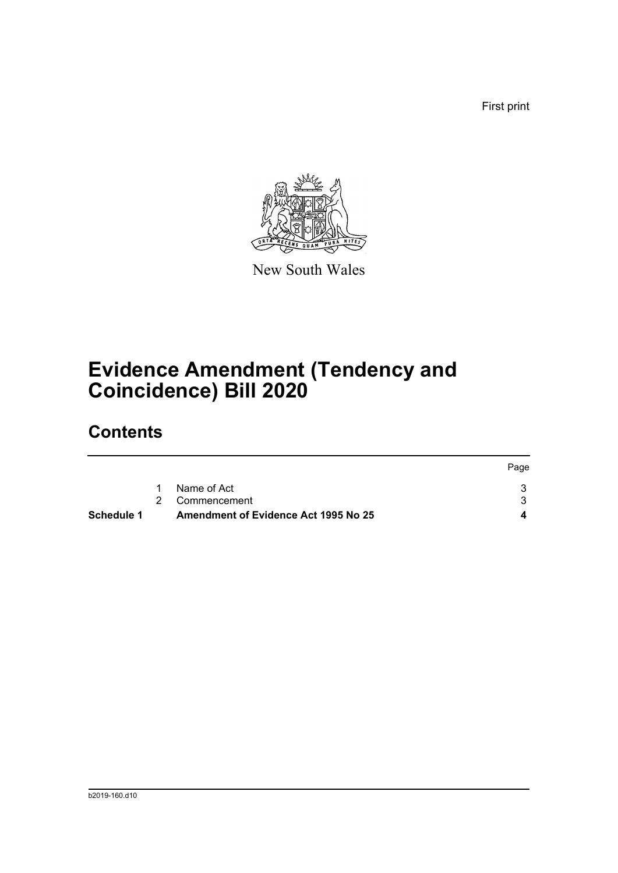First print



New South Wales

# **Evidence Amendment (Tendency and Coincidence) Bill 2020**

# **Contents**

| <b>Schedule 1</b> | <b>Amendment of Evidence Act 1995 No 25</b> |      |
|-------------------|---------------------------------------------|------|
|                   | 2 Commencement                              |      |
|                   | Name of Act                                 |      |
|                   |                                             | Page |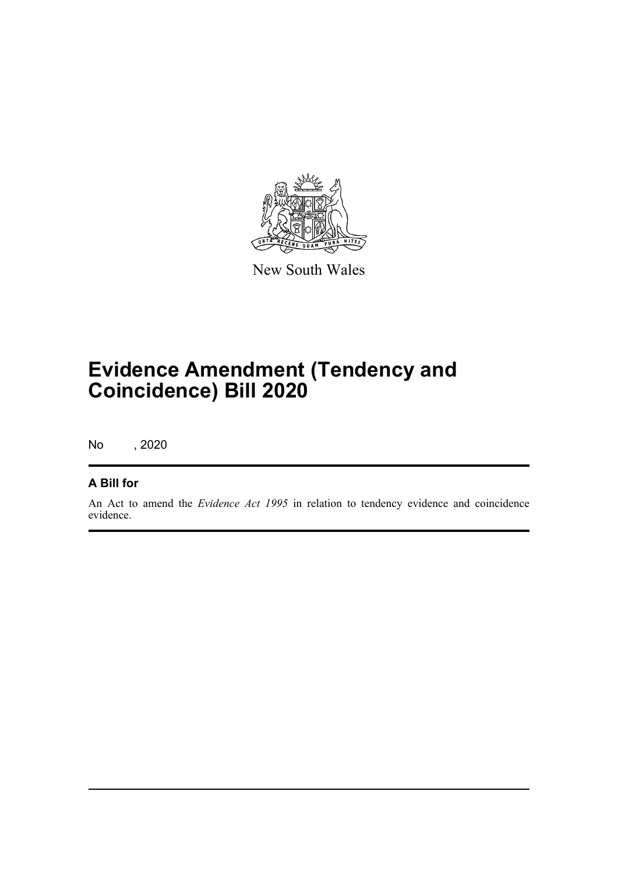

New South Wales

# **Evidence Amendment (Tendency and Coincidence) Bill 2020**

No , 2020

### **A Bill for**

An Act to amend the *Evidence Act 1995* in relation to tendency evidence and coincidence evidence.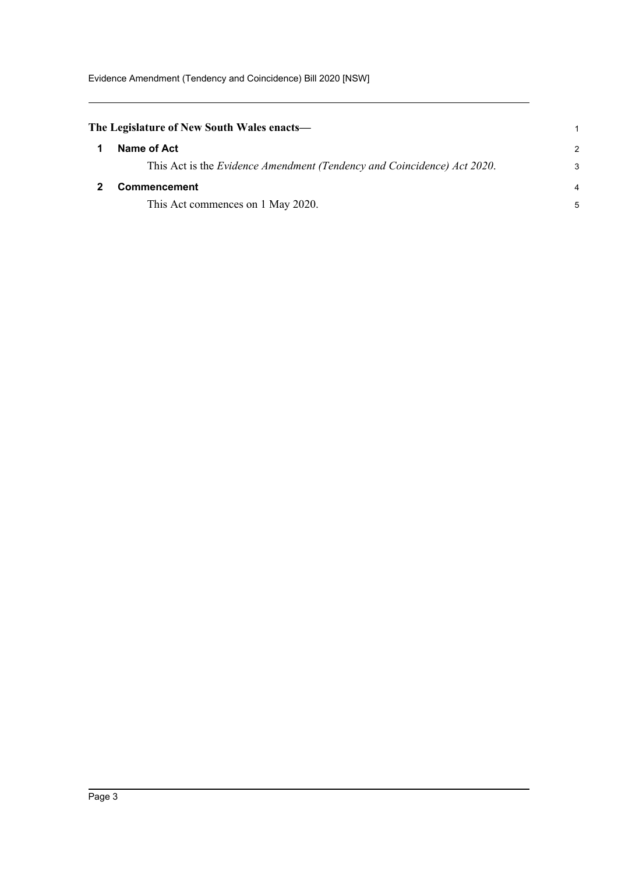<span id="page-4-1"></span><span id="page-4-0"></span>

| The Legislature of New South Wales enacts—                              |               |
|-------------------------------------------------------------------------|---------------|
| Name of Act                                                             | $\mathcal{P}$ |
| This Act is the Evidence Amendment (Tendency and Coincidence) Act 2020. | 3             |
| <b>Commencement</b>                                                     |               |
| This Act commences on 1 May 2020.                                       | 5             |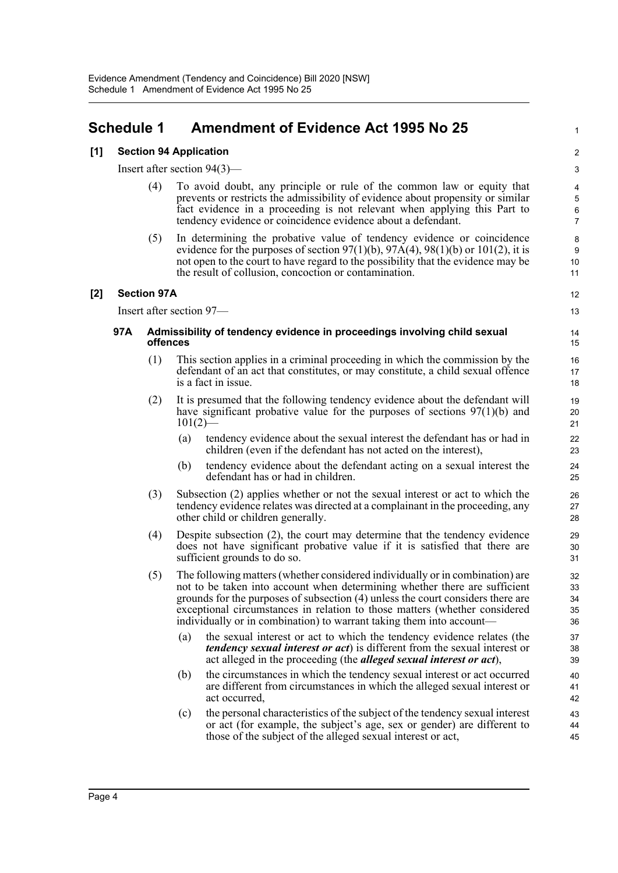## <span id="page-5-0"></span>**Schedule 1 Amendment of Evidence Act 1995 No 25**

### **[1] Section 94 Application**

Insert after section 94(3)—

- (4) To avoid doubt, any principle or rule of the common law or equity that prevents or restricts the admissibility of evidence about propensity or similar fact evidence in a proceeding is not relevant when applying this Part to tendency evidence or coincidence evidence about a defendant.
- (5) In determining the probative value of tendency evidence or coincidence evidence for the purposes of section  $97(1)(b)$ ,  $97A(4)$ ,  $98(1)(b)$  or  $101(2)$ , it is not open to the court to have regard to the possibility that the evidence may be the result of collusion, concoction or contamination.

### **[2] Section 97A**

Insert after section 97—

12 13

1

#### **97A Admissibility of tendency evidence in proceedings involving child sexual offences**

- (1) This section applies in a criminal proceeding in which the commission by the defendant of an act that constitutes, or may constitute, a child sexual offence is a fact in issue.
- (2) It is presumed that the following tendency evidence about the defendant will have significant probative value for the purposes of sections 97(1)(b) and  $101(2)$ 
	- (a) tendency evidence about the sexual interest the defendant has or had in children (even if the defendant has not acted on the interest),
	- (b) tendency evidence about the defendant acting on a sexual interest the defendant has or had in children.
- (3) Subsection (2) applies whether or not the sexual interest or act to which the tendency evidence relates was directed at a complainant in the proceeding, any other child or children generally.
- (4) Despite subsection (2), the court may determine that the tendency evidence does not have significant probative value if it is satisfied that there are sufficient grounds to do so.
- (5) The following matters (whether considered individually or in combination) are not to be taken into account when determining whether there are sufficient grounds for the purposes of subsection (4) unless the court considers there are exceptional circumstances in relation to those matters (whether considered individually or in combination) to warrant taking them into account—
	- (a) the sexual interest or act to which the tendency evidence relates (the *tendency sexual interest or act*) is different from the sexual interest or act alleged in the proceeding (the *alleged sexual interest or act*),
	- (b) the circumstances in which the tendency sexual interest or act occurred are different from circumstances in which the alleged sexual interest or act occurred,
	- (c) the personal characteristics of the subject of the tendency sexual interest or act (for example, the subject's age, sex or gender) are different to those of the subject of the alleged sexual interest or act,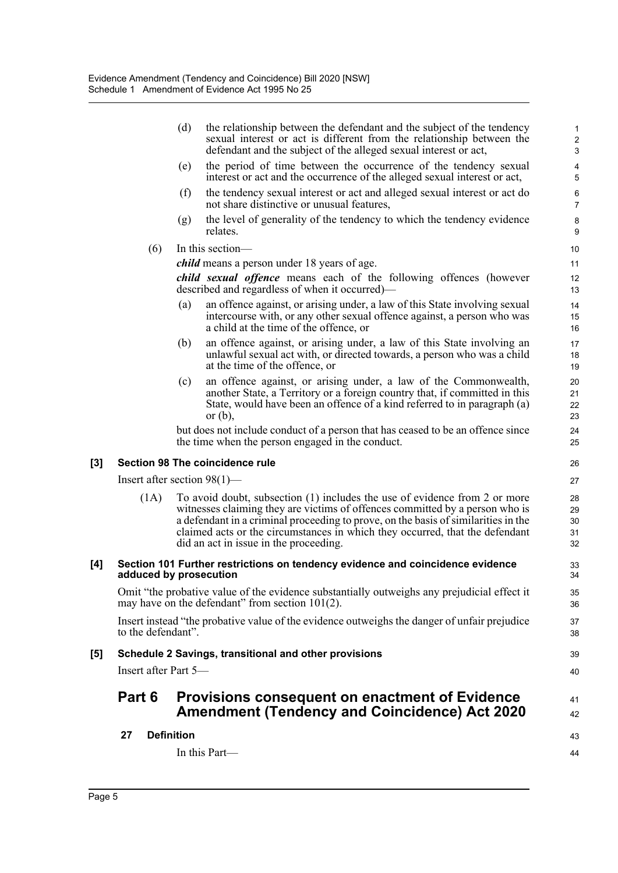|          |                                | (d)               | the relationship between the defendant and the subject of the tendency<br>sexual interest or act is different from the relationship between the<br>defendant and the subject of the alleged sexual interest or act,                                                                                                                                                        | $\mathbf{1}$<br>$\sqrt{2}$<br>$\sqrt{3}$ |
|----------|--------------------------------|-------------------|----------------------------------------------------------------------------------------------------------------------------------------------------------------------------------------------------------------------------------------------------------------------------------------------------------------------------------------------------------------------------|------------------------------------------|
|          |                                | (e)               | the period of time between the occurrence of the tendency sexual<br>interest or act and the occurrence of the alleged sexual interest or act,                                                                                                                                                                                                                              | $\overline{\mathbf{4}}$<br>5             |
|          |                                | (f)               | the tendency sexual interest or act and alleged sexual interest or act do<br>not share distinctive or unusual features,                                                                                                                                                                                                                                                    | 6<br>$\overline{7}$                      |
|          |                                | (g)               | the level of generality of the tendency to which the tendency evidence<br>relates.                                                                                                                                                                                                                                                                                         | $\bf 8$<br>9                             |
|          | (6)                            |                   | In this section-                                                                                                                                                                                                                                                                                                                                                           | 10                                       |
|          |                                |                   | <i>child</i> means a person under 18 years of age.                                                                                                                                                                                                                                                                                                                         | 11                                       |
|          |                                |                   | child sexual offence means each of the following offences (however<br>described and regardless of when it occurred)—                                                                                                                                                                                                                                                       | 12<br>13                                 |
|          |                                | (a)               | an offence against, or arising under, a law of this State involving sexual<br>intercourse with, or any other sexual offence against, a person who was<br>a child at the time of the offence, or                                                                                                                                                                            | 14<br>15<br>16                           |
|          |                                | (b)               | an offence against, or arising under, a law of this State involving an<br>unlawful sexual act with, or directed towards, a person who was a child<br>at the time of the offence, or                                                                                                                                                                                        | 17<br>18<br>19                           |
|          |                                | (c)               | an offence against, or arising under, a law of the Commonwealth,<br>another State, a Territory or a foreign country that, if committed in this<br>State, would have been an offence of a kind referred to in paragraph (a)<br>or $(b)$ ,                                                                                                                                   | 20<br>21<br>22<br>23                     |
|          |                                |                   | but does not include conduct of a person that has ceased to be an offence since<br>the time when the person engaged in the conduct.                                                                                                                                                                                                                                        | 24<br>25                                 |
| $^{[3]}$ |                                |                   | Section 98 The coincidence rule                                                                                                                                                                                                                                                                                                                                            | 26                                       |
|          | Insert after section $98(1)$ — |                   |                                                                                                                                                                                                                                                                                                                                                                            | 27                                       |
|          | (1A)                           |                   | To avoid doubt, subsection (1) includes the use of evidence from 2 or more<br>witnesses claiming they are victims of offences committed by a person who is<br>a defendant in a criminal proceeding to prove, on the basis of similarities in the<br>claimed acts or the circumstances in which they occurred, that the defendant<br>did an act in issue in the proceeding. | 28<br>29<br>30<br>31<br>32               |
| [4]      | adduced by prosecution         |                   | Section 101 Further restrictions on tendency evidence and coincidence evidence                                                                                                                                                                                                                                                                                             | 33<br>34                                 |
|          |                                |                   | Omit "the probative value of the evidence substantially outweighs any prejudicial effect it<br>may have on the defendant" from section $101(2)$ .                                                                                                                                                                                                                          | 35<br>36                                 |
|          | to the defendant".             |                   | Insert instead "the probative value of the evidence outweighs the danger of unfair prejudice                                                                                                                                                                                                                                                                               | 37<br>38                                 |
| [5]      |                                |                   | Schedule 2 Savings, transitional and other provisions                                                                                                                                                                                                                                                                                                                      | 39                                       |
|          | Insert after Part 5-           |                   |                                                                                                                                                                                                                                                                                                                                                                            | 40                                       |
|          | Part 6                         |                   | Provisions consequent on enactment of Evidence<br><b>Amendment (Tendency and Coincidence) Act 2020</b>                                                                                                                                                                                                                                                                     | 41<br>42                                 |
|          | 27                             | <b>Definition</b> |                                                                                                                                                                                                                                                                                                                                                                            | 43                                       |
|          |                                |                   | In this Part-                                                                                                                                                                                                                                                                                                                                                              | 44                                       |